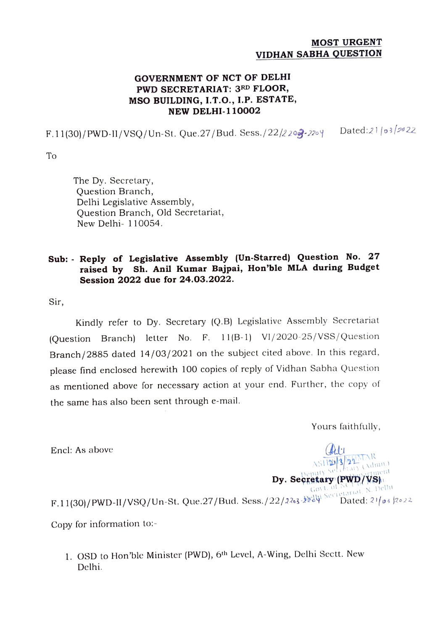## MOST URGENT VIDHAN SABHA QUESTION

## GOVERNMENT OF NCT OF DELHI PWD SECRETARIAT: 3RD FLOOR, MSO BUILDING, I.T.O., I.P. ESTATE, NEW DELHI-110002

F.11(30)/PWD-I1/VsQ/Un-St. Que.27/Bud. Sess./22/2203-22oy Dated:21/o3/p0 22

To

The Dy. Secretary, Question Branch, Delhi Legislative Assembly, Question Branch, Old Secretariat, New Delhi- 110054.

## Sub: Reply of Legislative Assembly (Un-Starred) Question No. 27 raised by Sh. Anil Kumar Bajpai, Hon'ble MLA during Budget Session 2022 due for 24.03.2022.

Sir,

Kindly refer to Dy. Secretary (Q.B) Legislative Assembly Secretariat (Question Branch) letter No. F. 11(B-1) VI/2020-25/VSS/Question Branch/2885 dated 14/03/2021 on the subject cited above. In this regard, please find enclosed herewith 100 copies of reply of Vidhan Sabha Question as mentioned above for necessary action at your end. Further, the copy of the same has also been sent through e-mail.

Yours faithfully,

Asia (Admn.)

Encl: As above

 $Dy.$  Secretary (PWD/VS)  $\frac{Dy}{\text{Gov L of N}}$ <br>F.11(30)/PWD-II/VSQ/Un-St. Que.27/Bud. Sess./22/2203-2220 Copy for information to:-

1. OSD to Hon'ble Minister (PWD), 6th Level, A-Wing, Delhi Sectt. New Delhi.